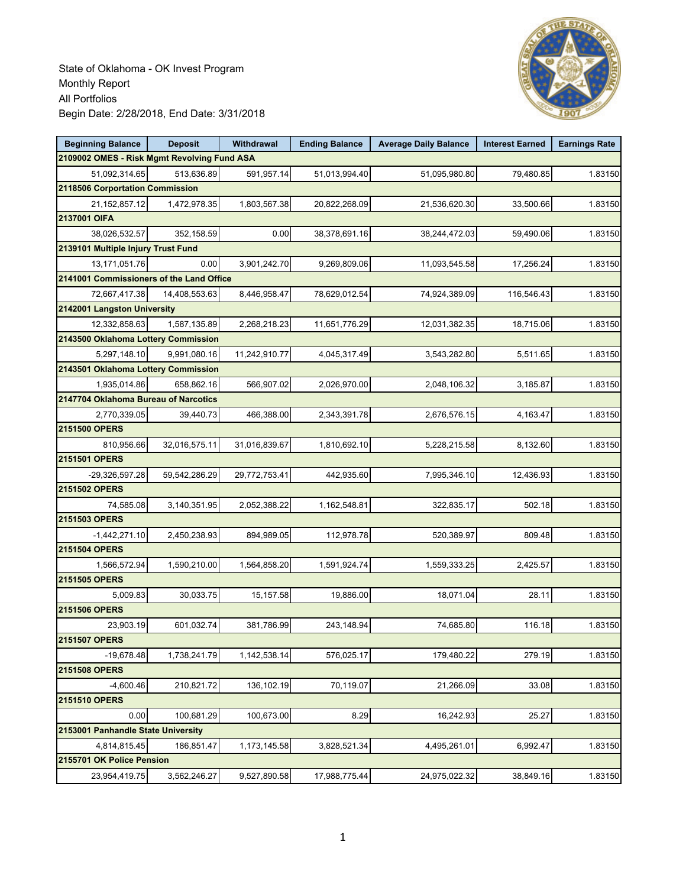

| <b>Beginning Balance</b>                    | <b>Deposit</b> | Withdrawal    | <b>Ending Balance</b> | <b>Average Daily Balance</b> | <b>Interest Earned</b> | <b>Earnings Rate</b> |
|---------------------------------------------|----------------|---------------|-----------------------|------------------------------|------------------------|----------------------|
| 2109002 OMES - Risk Mgmt Revolving Fund ASA |                |               |                       |                              |                        |                      |
| 51,092,314.65                               | 513,636.89     | 591,957.14    | 51,013,994.40         | 51,095,980.80                | 79,480.85              | 1.83150              |
| 2118506 Corportation Commission             |                |               |                       |                              |                        |                      |
| 21, 152, 857. 12                            | 1,472,978.35   | 1,803,567.38  | 20,822,268.09         | 21,536,620.30                | 33,500.66              | 1.83150              |
| 2137001 OIFA                                |                |               |                       |                              |                        |                      |
| 38,026,532.57                               | 352,158.59     | 0.00          | 38,378,691.16         | 38,244,472.03                | 59,490.06              | 1.83150              |
| 2139101 Multiple Injury Trust Fund          |                |               |                       |                              |                        |                      |
| 13,171,051.76                               | 0.00           | 3,901,242.70  | 9,269,809.06          | 11,093,545.58                | 17,256.24              | 1.83150              |
| 2141001 Commissioners of the Land Office    |                |               |                       |                              |                        |                      |
| 72,667,417.38                               | 14,408,553.63  | 8,446,958.47  | 78,629,012.54         | 74,924,389.09                | 116,546.43             | 1.83150              |
| 2142001 Langston University                 |                |               |                       |                              |                        |                      |
| 12,332,858.63                               | 1,587,135.89   | 2,268,218.23  | 11,651,776.29         | 12,031,382.35                | 18,715.06              | 1.83150              |
| 2143500 Oklahoma Lottery Commission         |                |               |                       |                              |                        |                      |
| 5,297,148.10                                | 9,991,080.16   | 11,242,910.77 | 4,045,317.49          | 3,543,282.80                 | 5,511.65               | 1.83150              |
| 2143501 Oklahoma Lottery Commission         |                |               |                       |                              |                        |                      |
| 1,935,014.86                                | 658.862.16     | 566,907.02    | 2,026,970.00          | 2,048,106.32                 | 3,185.87               | 1.83150              |
| 2147704 Oklahoma Bureau of Narcotics        |                |               |                       |                              |                        |                      |
| 2,770,339.05                                | 39,440.73      | 466,388.00    | 2,343,391.78          | 2,676,576.15                 | 4,163.47               | 1.83150              |
| 2151500 OPERS                               |                |               |                       |                              |                        |                      |
| 810,956.66                                  | 32,016,575.11  | 31,016,839.67 | 1,810,692.10          | 5,228,215.58                 | 8,132.60               | 1.83150              |
| 2151501 OPERS                               |                |               |                       |                              |                        |                      |
| -29,326,597.28                              | 59,542,286.29  | 29,772,753.41 | 442,935.60            | 7,995,346.10                 | 12,436.93              | 1.83150              |
| 2151502 OPERS                               |                |               |                       |                              |                        |                      |
| 74,585.08                                   | 3,140,351.95   | 2,052,388.22  | 1,162,548.81          | 322,835.17                   | 502.18                 | 1.83150              |
| 2151503 OPERS                               |                |               |                       |                              |                        |                      |
| $-1,442,271.10$                             | 2,450,238.93   | 894,989.05    | 112,978.78            | 520,389.97                   | 809.48                 | 1.83150              |
| 2151504 OPERS                               |                |               |                       |                              |                        |                      |
| 1,566,572.94                                | 1,590,210.00   | 1,564,858.20  | 1,591,924.74          | 1,559,333.25                 | 2,425.57               | 1.83150              |
| 2151505 OPERS                               |                |               |                       |                              |                        |                      |
| 5,009.83                                    | 30,033.75      | 15, 157.58    | 19,886.00             | 18,071.04                    | 28.11                  | 1.83150              |
| 2151506 OPERS                               |                |               |                       |                              |                        |                      |
| 23,903.19                                   | 601,032.74     | 381,786.99    | 243,148.94            | 74,685.80                    | 116.18                 | 1.83150              |
| 2151507 OPERS                               |                |               |                       |                              |                        |                      |
| $-19,678.48$                                | 1,738,241.79   | 1,142,538.14  | 576,025.17            | 179,480.22                   | 279.19                 | 1.83150              |
| 2151508 OPERS                               |                |               |                       |                              |                        |                      |
| $-4,600.46$                                 | 210,821.72     | 136,102.19    | 70,119.07             | 21,266.09                    | 33.08                  | 1.83150              |
| 2151510 OPERS                               |                |               |                       |                              |                        |                      |
| 0.00                                        | 100,681.29     | 100,673.00    | 8.29                  | 16,242.93                    | 25.27                  | 1.83150              |
| 2153001 Panhandle State University          |                |               |                       |                              |                        |                      |
| 4,814,815.45                                | 186,851.47     | 1,173,145.58  | 3,828,521.34          | 4,495,261.01                 | 6,992.47               | 1.83150              |
| 2155701 OK Police Pension                   |                |               |                       |                              |                        |                      |
| 23,954,419.75                               | 3,562,246.27   | 9,527,890.58  | 17,988,775.44         | 24,975,022.32                | 38,849.16              | 1.83150              |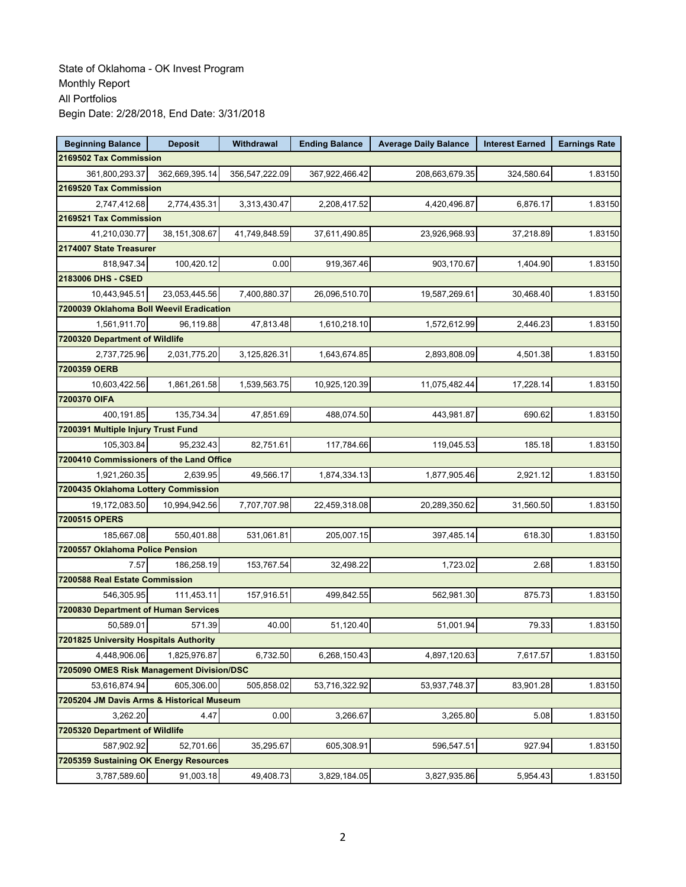| <b>Beginning Balance</b>                  | <b>Deposit</b>  | Withdrawal     | <b>Ending Balance</b> | <b>Average Daily Balance</b> | <b>Interest Earned</b> | <b>Earnings Rate</b> |  |  |  |
|-------------------------------------------|-----------------|----------------|-----------------------|------------------------------|------------------------|----------------------|--|--|--|
| 2169502 Tax Commission                    |                 |                |                       |                              |                        |                      |  |  |  |
| 361,800,293.37                            | 362,669,395.14  | 356,547,222.09 | 367,922,466.42        | 208,663,679.35               | 324,580.64             | 1.83150              |  |  |  |
| 2169520 Tax Commission                    |                 |                |                       |                              |                        |                      |  |  |  |
| 2,747,412.68                              | 2,774,435.31    | 3,313,430.47   | 2,208,417.52          | 4,420,496.87                 | 6,876.17               | 1.83150              |  |  |  |
| 2169521 Tax Commission                    |                 |                |                       |                              |                        |                      |  |  |  |
| 41,210,030.77                             | 38, 151, 308.67 | 41,749,848.59  | 37,611,490.85         | 23,926,968.93                | 37,218.89              | 1.83150              |  |  |  |
| 2174007 State Treasurer                   |                 |                |                       |                              |                        |                      |  |  |  |
| 818,947.34                                | 100,420.12      | 0.00           | 919,367.46            | 903,170.67                   | 1,404.90               | 1.83150              |  |  |  |
| 2183006 DHS - CSED                        |                 |                |                       |                              |                        |                      |  |  |  |
| 10,443,945.51                             | 23,053,445.56   | 7,400,880.37   | 26,096,510.70         | 19,587,269.61                | 30,468.40              | 1.83150              |  |  |  |
| 7200039 Oklahoma Boll Weevil Eradication  |                 |                |                       |                              |                        |                      |  |  |  |
| 1,561,911.70                              | 96,119.88       | 47,813.48      | 1,610,218.10          | 1,572,612.99                 | 2,446.23               | 1.83150              |  |  |  |
| 7200320 Department of Wildlife            |                 |                |                       |                              |                        |                      |  |  |  |
| 2,737,725.96                              | 2,031,775.20    | 3,125,826.31   | 1,643,674.85          | 2,893,808.09                 | 4,501.38               | 1.83150              |  |  |  |
| 7200359 OERB                              |                 |                |                       |                              |                        |                      |  |  |  |
| 10,603,422.56                             | 1,861,261.58    | 1,539,563.75   | 10,925,120.39         | 11,075,482.44                | 17,228.14              | 1.83150              |  |  |  |
| 7200370 OIFA                              |                 |                |                       |                              |                        |                      |  |  |  |
| 400.191.85                                | 135,734.34      | 47,851.69      | 488,074.50            | 443,981.87                   | 690.62                 | 1.83150              |  |  |  |
| 7200391 Multiple Injury Trust Fund        |                 |                |                       |                              |                        |                      |  |  |  |
| 105,303.84                                | 95.232.43       | 82,751.61      | 117,784.66            | 119,045.53                   | 185.18                 | 1.83150              |  |  |  |
| 7200410 Commissioners of the Land Office  |                 |                |                       |                              |                        |                      |  |  |  |
| 1,921,260.35                              | 2,639.95        | 49,566.17      | 1,874,334.13          | 1,877,905.46                 | 2,921.12               | 1.83150              |  |  |  |
| 7200435 Oklahoma Lottery Commission       |                 |                |                       |                              |                        |                      |  |  |  |
| 19,172,083.50                             | 10,994,942.56   | 7,707,707.98   | 22,459,318.08         | 20,289,350.62                | 31,560.50              | 1.83150              |  |  |  |
| 7200515 OPERS                             |                 |                |                       |                              |                        |                      |  |  |  |
| 185,667.08                                | 550,401.88      | 531,061.81     | 205,007.15            | 397,485.14                   | 618.30                 | 1.83150              |  |  |  |
| 7200557 Oklahoma Police Pension           |                 |                |                       |                              |                        |                      |  |  |  |
| 7.57                                      | 186,258.19      | 153,767.54     | 32,498.22             | 1,723.02                     | 2.68                   | 1.83150              |  |  |  |
| 7200588 Real Estate Commission            |                 |                |                       |                              |                        |                      |  |  |  |
| 546,305.95                                | 111,453.11      | 157,916.51     | 499,842.55            | 562,981.30                   | 875.73                 | 1.83150              |  |  |  |
| 7200830 Department of Human Services      |                 |                |                       |                              |                        |                      |  |  |  |
| 50,589.01                                 | 571.39          | 40.00          | 51,120.40             | 51,001.94                    | 79.33                  | 1.83150              |  |  |  |
| 7201825 University Hospitals Authority    |                 |                |                       |                              |                        |                      |  |  |  |
| 4,448,906.06                              | 1,825,976.87    | 6,732.50       | 6,268,150.43          | 4,897,120.63                 | 7,617.57               | 1.83150              |  |  |  |
| 7205090 OMES Risk Management Division/DSC |                 |                |                       |                              |                        |                      |  |  |  |
| 53,616,874.94                             | 605,306.00      | 505,858.02     | 53,716,322.92         | 53,937,748.37                | 83,901.28              | 1.83150              |  |  |  |
| 7205204 JM Davis Arms & Historical Museum |                 |                |                       |                              |                        |                      |  |  |  |
| 3,262.20                                  | 4.47            | 0.00           | 3,266.67              | 3,265.80                     | 5.08                   | 1.83150              |  |  |  |
| 7205320 Department of Wildlife            |                 |                |                       |                              |                        |                      |  |  |  |
| 587,902.92                                | 52,701.66       | 35,295.67      | 605,308.91            | 596,547.51                   | 927.94                 | 1.83150              |  |  |  |
| 7205359 Sustaining OK Energy Resources    |                 |                |                       |                              |                        |                      |  |  |  |
| 3,787,589.60                              | 91,003.18       | 49,408.73      | 3,829,184.05          | 3,827,935.86                 | 5,954.43               | 1.83150              |  |  |  |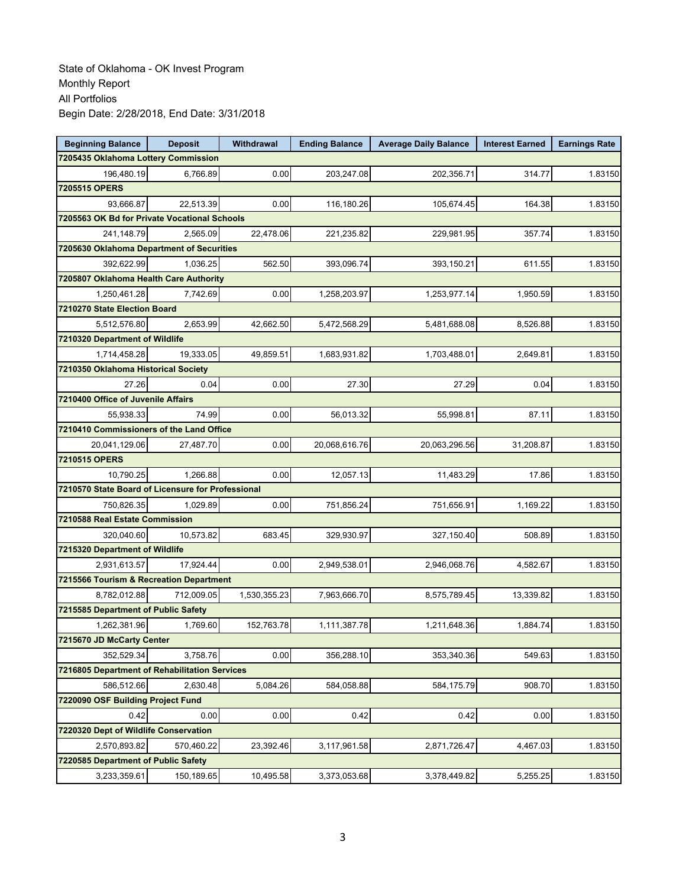| <b>Beginning Balance</b>                          | <b>Deposit</b>                         | Withdrawal   | <b>Ending Balance</b> | <b>Average Daily Balance</b> | <b>Interest Earned</b> | <b>Earnings Rate</b> |  |  |  |
|---------------------------------------------------|----------------------------------------|--------------|-----------------------|------------------------------|------------------------|----------------------|--|--|--|
| 7205435 Oklahoma Lottery Commission               |                                        |              |                       |                              |                        |                      |  |  |  |
| 196,480.19                                        | 6,766.89                               | 0.00         | 203,247.08            | 202,356.71                   | 314.77                 | 1.83150              |  |  |  |
| 7205515 OPERS                                     |                                        |              |                       |                              |                        |                      |  |  |  |
| 93,666.87                                         | 22,513.39                              | 0.00         | 116,180.26            | 105,674.45                   | 164.38                 | 1.83150              |  |  |  |
| 7205563 OK Bd for Private Vocational Schools      |                                        |              |                       |                              |                        |                      |  |  |  |
| 241,148.79                                        | 2,565.09                               | 22,478.06    | 221,235.82            | 229,981.95                   | 357.74                 | 1.83150              |  |  |  |
| 7205630 Oklahoma Department of Securities         |                                        |              |                       |                              |                        |                      |  |  |  |
| 392,622.99                                        | 1,036.25                               | 562.50       | 393,096.74            | 393,150.21                   | 611.55                 | 1.83150              |  |  |  |
|                                                   | 7205807 Oklahoma Health Care Authority |              |                       |                              |                        |                      |  |  |  |
| 1,250,461.28                                      | 7,742.69                               | 0.00         | 1,258,203.97          | 1,253,977.14                 | 1,950.59               | 1.83150              |  |  |  |
| 7210270 State Election Board                      |                                        |              |                       |                              |                        |                      |  |  |  |
| 5,512,576.80                                      | 2,653.99                               | 42,662.50    | 5,472,568.29          | 5,481,688.08                 | 8,526.88               | 1.83150              |  |  |  |
| 7210320 Department of Wildlife                    |                                        |              |                       |                              |                        |                      |  |  |  |
| 1,714,458.28                                      | 19,333.05                              | 49,859.51    | 1,683,931.82          | 1,703,488.01                 | 2,649.81               | 1.83150              |  |  |  |
| 7210350 Oklahoma Historical Society               |                                        |              |                       |                              |                        |                      |  |  |  |
| 27.26                                             | 0.04                                   | 0.00         | 27.30                 | 27.29                        | 0.04                   | 1.83150              |  |  |  |
| 7210400 Office of Juvenile Affairs                |                                        |              |                       |                              |                        |                      |  |  |  |
| 55,938.33                                         | 74.99                                  | 0.00         | 56,013.32             | 55,998.81                    | 87.11                  | 1.83150              |  |  |  |
| 7210410 Commissioners of the Land Office          |                                        |              |                       |                              |                        |                      |  |  |  |
| 20,041,129.06                                     | 27,487.70                              | 0.00         | 20,068,616.76         | 20,063,296.56                | 31,208.87              | 1.83150              |  |  |  |
| 7210515 OPERS                                     |                                        |              |                       |                              |                        |                      |  |  |  |
| 10,790.25                                         | 1,266.88                               | 0.00         | 12,057.13             | 11,483.29                    | 17.86                  | 1.83150              |  |  |  |
| 7210570 State Board of Licensure for Professional |                                        |              |                       |                              |                        |                      |  |  |  |
| 750,826.35                                        | 1,029.89                               | 0.00         | 751,856.24            | 751,656.91                   | 1,169.22               | 1.83150              |  |  |  |
| 7210588 Real Estate Commission                    |                                        |              |                       |                              |                        |                      |  |  |  |
| 320,040.60                                        | 10,573.82                              | 683.45       | 329,930.97            | 327,150.40                   | 508.89                 | 1.83150              |  |  |  |
| 7215320 Department of Wildlife                    |                                        |              |                       |                              |                        |                      |  |  |  |
| 2,931,613.57                                      | 17,924.44                              | 0.00         | 2,949,538.01          | 2,946,068.76                 | 4,582.67               | 1.83150              |  |  |  |
| 7215566 Tourism & Recreation Department           |                                        |              |                       |                              |                        |                      |  |  |  |
| 8,782,012.88                                      | 712,009.05                             | 1,530,355.23 | 7,963,666.70          | 8,575,789.45                 | 13,339.82              | 1.83150              |  |  |  |
| 7215585 Department of Public Safety               |                                        |              |                       |                              |                        |                      |  |  |  |
| 1,262,381.96                                      | 1,769.60                               | 152,763.78   | 1,111,387.78          | 1,211,648.36                 | 1,884.74               | 1.83150              |  |  |  |
| 7215670 JD McCarty Center                         |                                        |              |                       |                              |                        |                      |  |  |  |
| 352,529.34                                        | 3,758.76                               | 0.00         | 356,288.10            | 353,340.36                   | 549.63                 | 1.83150              |  |  |  |
| 7216805 Department of Rehabilitation Services     |                                        |              |                       |                              |                        |                      |  |  |  |
| 586.512.66                                        | 2,630.48                               | 5,084.26     | 584,058.88            | 584,175.79                   | 908.70                 | 1.83150              |  |  |  |
| 7220090 OSF Building Project Fund                 |                                        |              |                       |                              |                        |                      |  |  |  |
| 0.42                                              | 0.00                                   | 0.00         | 0.42                  | 0.42                         | 0.00                   | 1.83150              |  |  |  |
| 7220320 Dept of Wildlife Conservation             |                                        |              |                       |                              |                        |                      |  |  |  |
| 2,570,893.82                                      | 570,460.22                             | 23,392.46    | 3,117,961.58          | 2,871,726.47                 | 4,467.03               | 1.83150              |  |  |  |
| 7220585 Department of Public Safety               |                                        |              |                       |                              |                        |                      |  |  |  |
| 3,233,359.61                                      | 150,189.65                             | 10,495.58    | 3,373,053.68          | 3,378,449.82                 | 5,255.25               | 1.83150              |  |  |  |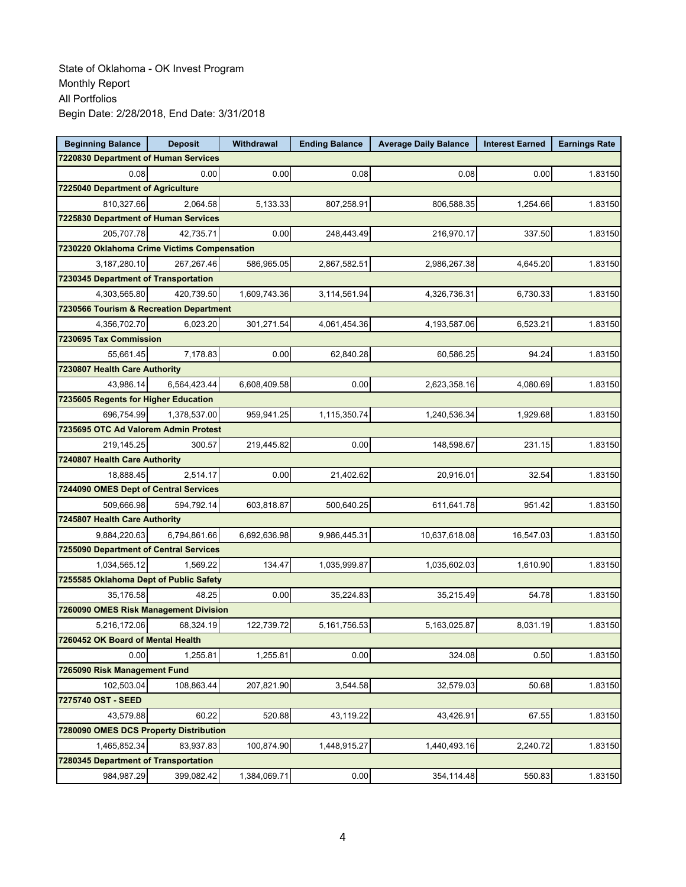| <b>Beginning Balance</b>                    | <b>Deposit</b> | Withdrawal   | <b>Ending Balance</b> | <b>Average Daily Balance</b> | <b>Interest Earned</b> | <b>Earnings Rate</b> |
|---------------------------------------------|----------------|--------------|-----------------------|------------------------------|------------------------|----------------------|
| 7220830 Department of Human Services        |                |              |                       |                              |                        |                      |
| 0.08                                        | 0.00           | 0.00         | 0.08                  | 0.08                         | 0.00                   | 1.83150              |
| 7225040 Department of Agriculture           |                |              |                       |                              |                        |                      |
| 810,327.66                                  | 2,064.58       | 5,133.33     | 807,258.91            | 806,588.35                   | 1,254.66               | 1.83150              |
| 7225830 Department of Human Services        |                |              |                       |                              |                        |                      |
| 205,707.78                                  | 42,735.71      | 0.00         | 248,443.49            | 216,970.17                   | 337.50                 | 1.83150              |
| 7230220 Oklahoma Crime Victims Compensation |                |              |                       |                              |                        |                      |
| 3,187,280.10                                | 267,267.46     | 586,965.05   | 2,867,582.51          | 2,986,267.38                 | 4,645.20               | 1.83150              |
| 7230345 Department of Transportation        |                |              |                       |                              |                        |                      |
| 4,303,565.80                                | 420,739.50     | 1,609,743.36 | 3,114,561.94          | 4,326,736.31                 | 6,730.33               | 1.83150              |
| 7230566 Tourism & Recreation Department     |                |              |                       |                              |                        |                      |
| 4,356,702.70                                | 6,023.20       | 301,271.54   | 4,061,454.36          | 4,193,587.06                 | 6,523.21               | 1.83150              |
| 7230695 Tax Commission                      |                |              |                       |                              |                        |                      |
| 55,661.45                                   | 7,178.83       | 0.00         | 62,840.28             | 60,586.25                    | 94.24                  | 1.83150              |
| 7230807 Health Care Authority               |                |              |                       |                              |                        |                      |
| 43,986.14                                   | 6,564,423.44   | 6,608,409.58 | 0.00                  | 2,623,358.16                 | 4.080.69               | 1.83150              |
| 7235605 Regents for Higher Education        |                |              |                       |                              |                        |                      |
| 696,754.99                                  | 1,378,537.00   | 959,941.25   | 1,115,350.74          | 1,240,536.34                 | 1,929.68               | 1.83150              |
| 7235695 OTC Ad Valorem Admin Protest        |                |              |                       |                              |                        |                      |
| 219,145.25                                  | 300.57         | 219,445.82   | 0.00                  | 148,598.67                   | 231.15                 | 1.83150              |
| 7240807 Health Care Authority               |                |              |                       |                              |                        |                      |
| 18,888.45                                   | 2,514.17       | 0.00         | 21,402.62             | 20,916.01                    | 32.54                  | 1.83150              |
| 7244090 OMES Dept of Central Services       |                |              |                       |                              |                        |                      |
| 509,666.98                                  | 594,792.14     | 603,818.87   | 500,640.25            | 611,641.78                   | 951.42                 | 1.83150              |
| 7245807 Health Care Authority               |                |              |                       |                              |                        |                      |
| 9,884,220.63                                | 6,794,861.66   | 6,692,636.98 | 9,986,445.31          | 10,637,618.08                | 16,547.03              | 1.83150              |
| 7255090 Department of Central Services      |                |              |                       |                              |                        |                      |
| 1,034,565.12                                | 1,569.22       | 134.47       | 1,035,999.87          | 1,035,602.03                 | 1,610.90               | 1.83150              |
| 7255585 Oklahoma Dept of Public Safety      |                |              |                       |                              |                        |                      |
| 35,176.58                                   | 48.25          | 0.00         | 35,224.83             | 35,215.49                    | 54.78                  | 1.83150              |
| 7260090 OMES Risk Management Division       |                |              |                       |                              |                        |                      |
| 5,216,172.06                                | 68,324.19      | 122,739.72   | 5,161,756.53          | 5,163,025.87                 | 8,031.19               | 1.83150              |
| 7260452 OK Board of Mental Health           |                |              |                       |                              |                        |                      |
| 0.00                                        | 1,255.81       | 1,255.81     | 0.00                  | 324.08                       | 0.50                   | 1.83150              |
| 7265090 Risk Management Fund                |                |              |                       |                              |                        |                      |
| 102.503.04                                  | 108,863.44     | 207,821.90   | 3,544.58              | 32,579.03                    | 50.68                  | 1.83150              |
| 7275740 OST - SEED                          |                |              |                       |                              |                        |                      |
| 43,579.88                                   | 60.22          | 520.88       | 43,119.22             | 43,426.91                    | 67.55                  | 1.83150              |
| 7280090 OMES DCS Property Distribution      |                |              |                       |                              |                        |                      |
| 1,465,852.34                                | 83,937.83      | 100.874.90   | 1,448,915.27          | 1,440,493.16                 | 2,240.72               | 1.83150              |
| 7280345 Department of Transportation        |                |              |                       |                              |                        |                      |
| 984,987.29                                  | 399,082.42     | 1,384,069.71 | 0.00                  | 354,114.48                   | 550.83                 | 1.83150              |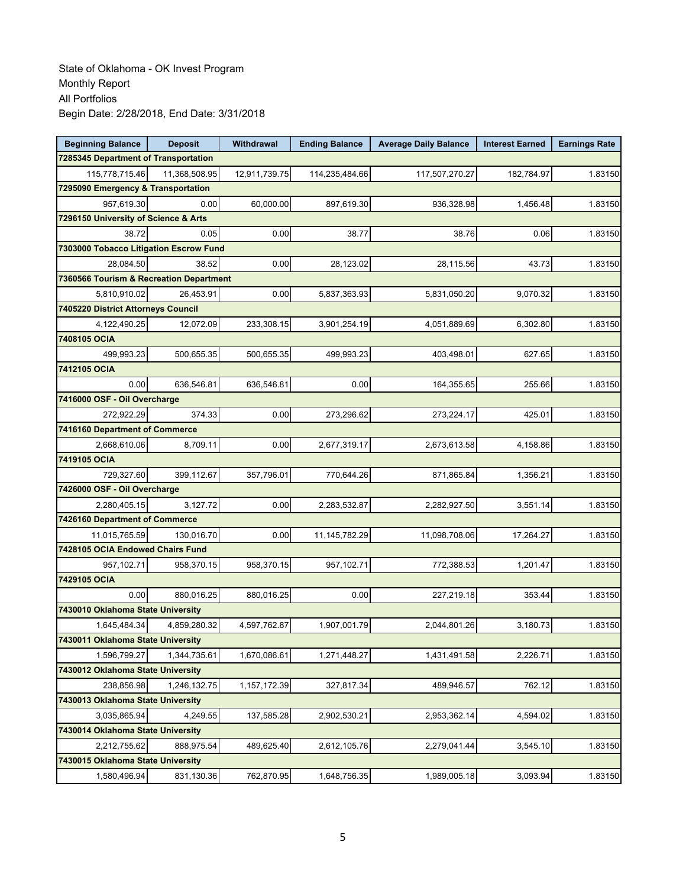| <b>Beginning Balance</b>                | <b>Deposit</b> | Withdrawal    | <b>Ending Balance</b> | <b>Average Daily Balance</b> | <b>Interest Earned</b> | <b>Earnings Rate</b> |  |  |  |
|-----------------------------------------|----------------|---------------|-----------------------|------------------------------|------------------------|----------------------|--|--|--|
| 7285345 Department of Transportation    |                |               |                       |                              |                        |                      |  |  |  |
| 115,778,715.46                          | 11,368,508.95  | 12,911,739.75 | 114,235,484.66        | 117,507,270.27               | 182,784.97             | 1.83150              |  |  |  |
| 7295090 Emergency & Transportation      |                |               |                       |                              |                        |                      |  |  |  |
| 957,619.30                              | 0.00           | 60,000.00     | 897,619.30            | 936,328.98                   | 1,456.48               | 1.83150              |  |  |  |
| 7296150 University of Science & Arts    |                |               |                       |                              |                        |                      |  |  |  |
| 38.72                                   | 0.05           | 0.00          | 38.77                 | 38.76                        | 0.06                   | 1.83150              |  |  |  |
| 7303000 Tobacco Litigation Escrow Fund  |                |               |                       |                              |                        |                      |  |  |  |
| 28,084.50                               | 38.52          | 0.00          | 28,123.02             | 28,115.56                    | 43.73                  | 1.83150              |  |  |  |
| 7360566 Tourism & Recreation Department |                |               |                       |                              |                        |                      |  |  |  |
| 5,810,910.02                            | 26,453.91      | 0.00          | 5,837,363.93          | 5,831,050.20                 | 9,070.32               | 1.83150              |  |  |  |
| 7405220 District Attorneys Council      |                |               |                       |                              |                        |                      |  |  |  |
| 4,122,490.25                            | 12,072.09      | 233,308.15    | 3,901,254.19          | 4,051,889.69                 | 6,302.80               | 1.83150              |  |  |  |
| 7408105 OCIA                            |                |               |                       |                              |                        |                      |  |  |  |
| 499,993.23                              | 500,655.35     | 500,655.35    | 499,993.23            | 403,498.01                   | 627.65                 | 1.83150              |  |  |  |
| 7412105 OCIA                            |                |               |                       |                              |                        |                      |  |  |  |
| 0.00                                    | 636.546.81     | 636,546.81    | 0.00                  | 164,355.65                   | 255.66                 | 1.83150              |  |  |  |
| 7416000 OSF - Oil Overcharge            |                |               |                       |                              |                        |                      |  |  |  |
| 272,922.29                              | 374.33         | 0.00          | 273,296.62            | 273,224.17                   | 425.01                 | 1.83150              |  |  |  |
| 7416160 Department of Commerce          |                |               |                       |                              |                        |                      |  |  |  |
| 2,668,610.06                            | 8,709.11       | 0.00          | 2,677,319.17          | 2,673,613.58                 | 4,158.86               | 1.83150              |  |  |  |
| 7419105 OCIA                            |                |               |                       |                              |                        |                      |  |  |  |
| 729,327.60                              | 399,112.67     | 357,796.01    | 770,644.26            | 871,865.84                   | 1,356.21               | 1.83150              |  |  |  |
| 7426000 OSF - Oil Overcharge            |                |               |                       |                              |                        |                      |  |  |  |
| 2,280,405.15                            | 3,127.72       | 0.00          | 2,283,532.87          | 2,282,927.50                 | 3,551.14               | 1.83150              |  |  |  |
| 7426160 Department of Commerce          |                |               |                       |                              |                        |                      |  |  |  |
| 11,015,765.59                           | 130,016.70     | 0.00          | 11, 145, 782. 29      | 11,098,708.06                | 17,264.27              | 1.83150              |  |  |  |
| 7428105 OCIA Endowed Chairs Fund        |                |               |                       |                              |                        |                      |  |  |  |
| 957,102.71                              | 958,370.15     | 958,370.15    | 957,102.71            | 772,388.53                   | 1,201.47               | 1.83150              |  |  |  |
| 7429105 OCIA                            |                |               |                       |                              |                        |                      |  |  |  |
| 0.00                                    | 880.016.25     | 880,016.25    | 0.00                  | 227,219.18                   | 353.44                 | 1.83150              |  |  |  |
| 7430010 Oklahoma State University       |                |               |                       |                              |                        |                      |  |  |  |
| 1,645,484.34                            | 4,859,280.32   | 4,597,762.87  | 1,907,001.79          | 2,044,801.26                 | 3,180.73               | 1.83150              |  |  |  |
| 7430011 Oklahoma State University       |                |               |                       |                              |                        |                      |  |  |  |
| 1,596,799.27                            | 1,344,735.61   | 1,670,086.61  | 1,271,448.27          | 1,431,491.58                 | 2,226.71               | 1.83150              |  |  |  |
| 7430012 Oklahoma State University       |                |               |                       |                              |                        |                      |  |  |  |
| 238,856.98                              | 1,246,132.75   | 1,157,172.39  | 327,817.34            | 489,946.57                   | 762.12                 | 1.83150              |  |  |  |
| 7430013 Oklahoma State University       |                |               |                       |                              |                        |                      |  |  |  |
| 3,035,865.94                            | 4,249.55       | 137,585.28    | 2,902,530.21          | 2,953,362.14                 | 4,594.02               | 1.83150              |  |  |  |
| 7430014 Oklahoma State University       |                |               |                       |                              |                        |                      |  |  |  |
| 2,212,755.62                            | 888,975.54     | 489,625.40    | 2,612,105.76          | 2,279,041.44                 | 3,545.10               | 1.83150              |  |  |  |
| 7430015 Oklahoma State University       |                |               |                       |                              |                        |                      |  |  |  |
| 1,580,496.94                            | 831,130.36     | 762,870.95    | 1,648,756.35          | 1,989,005.18                 | 3,093.94               | 1.83150              |  |  |  |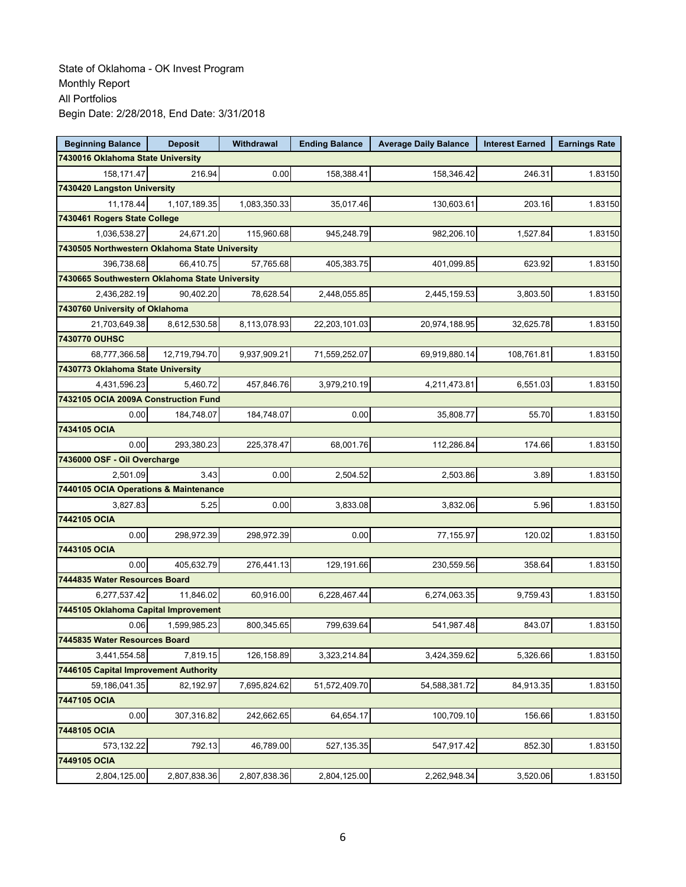| <b>Beginning Balance</b>                       | <b>Deposit</b>               | Withdrawal   | <b>Ending Balance</b> | <b>Average Daily Balance</b> | <b>Interest Earned</b> | <b>Earnings Rate</b> |  |  |  |
|------------------------------------------------|------------------------------|--------------|-----------------------|------------------------------|------------------------|----------------------|--|--|--|
| 7430016 Oklahoma State University              |                              |              |                       |                              |                        |                      |  |  |  |
| 158,171.47                                     | 216.94                       | 0.00         | 158.388.41            | 158,346.42                   | 246.31                 | 1.83150              |  |  |  |
| 7430420 Langston University                    |                              |              |                       |                              |                        |                      |  |  |  |
| 11,178.44                                      | 1,107,189.35                 | 1,083,350.33 | 35,017.46             | 130,603.61                   | 203.16                 | 1.83150              |  |  |  |
| 7430461 Rogers State College                   |                              |              |                       |                              |                        |                      |  |  |  |
| 1,036,538.27                                   | 24,671.20                    | 115,960.68   | 945,248.79            | 982,206.10                   | 1,527.84               | 1.83150              |  |  |  |
| 7430505 Northwestern Oklahoma State University |                              |              |                       |                              |                        |                      |  |  |  |
| 396,738.68                                     | 66,410.75                    | 57,765.68    | 405,383.75            | 401,099.85                   | 623.92                 | 1.83150              |  |  |  |
| 7430665 Southwestern Oklahoma State University |                              |              |                       |                              |                        |                      |  |  |  |
| 2,436,282.19                                   | 90,402.20                    | 78,628.54    | 2,448,055.85          | 2,445,159.53                 | 3,803.50               | 1.83150              |  |  |  |
| 7430760 University of Oklahoma                 |                              |              |                       |                              |                        |                      |  |  |  |
| 21,703,649.38                                  | 8,612,530.58                 | 8,113,078.93 | 22,203,101.03         | 20,974,188.95                | 32,625.78              | 1.83150              |  |  |  |
| 7430770 OUHSC                                  |                              |              |                       |                              |                        |                      |  |  |  |
| 68,777,366.58                                  | 12.719.794.70                | 9,937,909.21 | 71,559,252.07         | 69,919,880.14                | 108,761.81             | 1.83150              |  |  |  |
| 7430773 Oklahoma State University              |                              |              |                       |                              |                        |                      |  |  |  |
| 4,431,596.23                                   | 5,460.72                     | 457,846.76   | 3,979,210.19          | 4,211,473.81                 | 6,551.03               | 1.83150              |  |  |  |
| 7432105 OCIA 2009A Construction Fund           |                              |              |                       |                              |                        |                      |  |  |  |
| 0.00                                           | 184,748.07                   | 184,748.07   | 0.00                  | 35,808.77                    | 55.70                  | 1.83150              |  |  |  |
| 7434105 OCIA                                   |                              |              |                       |                              |                        |                      |  |  |  |
| 0.00                                           | 293,380.23                   | 225,378.47   | 68,001.76             | 112,286.84                   | 174.66                 | 1.83150              |  |  |  |
|                                                | 7436000 OSF - Oil Overcharge |              |                       |                              |                        |                      |  |  |  |
| 2,501.09                                       | 3.43                         | 0.00         | 2,504.52              | 2,503.86                     | 3.89                   | 1.83150              |  |  |  |
| 7440105 OCIA Operations & Maintenance          |                              |              |                       |                              |                        |                      |  |  |  |
| 3,827.83                                       | 5.25                         | 0.00         | 3,833.08              | 3,832.06                     | 5.96                   | 1.83150              |  |  |  |
| 7442105 OCIA                                   |                              |              |                       |                              |                        |                      |  |  |  |
| 0.00                                           | 298,972.39                   | 298,972.39   | 0.00                  | 77,155.97                    | 120.02                 | 1.83150              |  |  |  |
| 7443105 OCIA                                   |                              |              |                       |                              |                        |                      |  |  |  |
| 0.00                                           | 405,632.79                   | 276,441.13   | 129,191.66            | 230,559.56                   | 358.64                 | 1.83150              |  |  |  |
| 7444835 Water Resources Board                  |                              |              |                       |                              |                        |                      |  |  |  |
| 6,277,537.42                                   | 11,846.02                    | 60,916.00    | 6,228,467.44          | 6,274,063.35                 | 9,759.43               | 1.83150              |  |  |  |
| 7445105 Oklahoma Capital Improvement           |                              |              |                       |                              |                        |                      |  |  |  |
| 0.06                                           | 1,599,985.23                 | 800,345.65   | 799,639.64            | 541,987.48                   | 843.07                 | 1.83150              |  |  |  |
| 7445835 Water Resources Board                  |                              |              |                       |                              |                        |                      |  |  |  |
| 3,441,554.58                                   | 7,819.15                     | 126,158.89   | 3,323,214.84          | 3,424,359.62                 | 5,326.66               | 1.83150              |  |  |  |
| 7446105 Capital Improvement Authority          |                              |              |                       |                              |                        |                      |  |  |  |
| 59,186,041.35                                  | 82,192.97                    | 7,695,824.62 | 51,572,409.70         | 54,588,381.72                | 84,913.35              | 1.83150              |  |  |  |
| 7447105 OCIA                                   |                              |              |                       |                              |                        |                      |  |  |  |
| 0.00                                           | 307,316.82                   | 242,662.65   | 64,654.17             | 100,709.10                   | 156.66                 | 1.83150              |  |  |  |
| 7448105 OCIA                                   |                              |              |                       |                              |                        |                      |  |  |  |
| 573,132.22                                     | 792.13                       | 46,789.00    | 527,135.35            | 547,917.42                   | 852.30                 | 1.83150              |  |  |  |
| 7449105 OCIA                                   |                              |              |                       |                              |                        |                      |  |  |  |
| 2,804,125.00                                   | 2,807,838.36                 | 2,807,838.36 | 2,804,125.00          | 2,262,948.34                 | 3,520.06               | 1.83150              |  |  |  |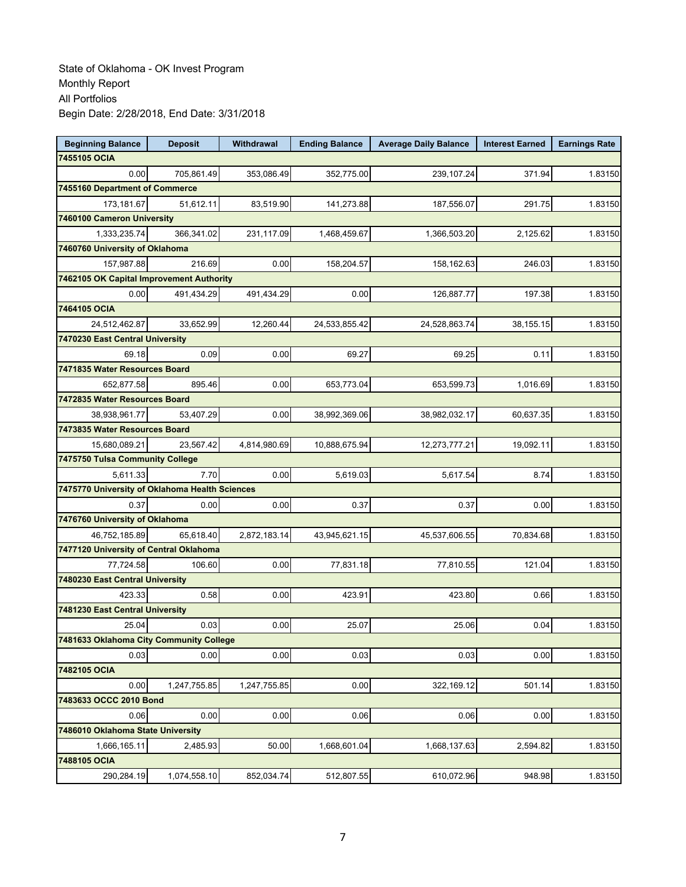| <b>Beginning Balance</b>                       | <b>Deposit</b> | <b>Withdrawal</b> | <b>Ending Balance</b> | <b>Average Daily Balance</b> | <b>Interest Earned</b> | <b>Earnings Rate</b> |
|------------------------------------------------|----------------|-------------------|-----------------------|------------------------------|------------------------|----------------------|
| 7455105 OCIA                                   |                |                   |                       |                              |                        |                      |
| 0.00                                           | 705,861.49     | 353.086.49        | 352.775.00            | 239,107.24                   | 371.94                 | 1.83150              |
| 7455160 Department of Commerce                 |                |                   |                       |                              |                        |                      |
| 173.181.67                                     | 51,612.11      | 83,519.90         | 141,273.88            | 187,556.07                   | 291.75                 | 1.83150              |
| 7460100 Cameron University                     |                |                   |                       |                              |                        |                      |
| 1,333,235.74                                   | 366,341.02     | 231,117.09        | 1,468,459.67          | 1,366,503.20                 | 2,125.62               | 1.83150              |
| 7460760 University of Oklahoma                 |                |                   |                       |                              |                        |                      |
| 157,987.88                                     | 216.69         | 0.00              | 158,204.57            | 158,162.63                   | 246.03                 | 1.83150              |
| 7462105 OK Capital Improvement Authority       |                |                   |                       |                              |                        |                      |
| 0.00                                           | 491,434.29     | 491,434.29        | 0.00                  | 126,887.77                   | 197.38                 | 1.83150              |
| 7464105 OCIA                                   |                |                   |                       |                              |                        |                      |
| 24,512,462.87                                  | 33,652.99      | 12,260.44         | 24,533,855.42         | 24,528,863.74                | 38,155.15              | 1.83150              |
| 7470230 East Central University                |                |                   |                       |                              |                        |                      |
| 69.18                                          | 0.09           | 0.00              | 69.27                 | 69.25                        | 0.11                   | 1.83150              |
| 7471835 Water Resources Board                  |                |                   |                       |                              |                        |                      |
| 652,877.58                                     | 895.46         | 0.00              | 653,773.04            | 653,599.73                   | 1,016.69               | 1.83150              |
| 7472835 Water Resources Board                  |                |                   |                       |                              |                        |                      |
| 38,938,961.77                                  | 53,407.29      | 0.00              | 38,992,369.06         | 38,982,032.17                | 60,637.35              | 1.83150              |
| 7473835 Water Resources Board                  |                |                   |                       |                              |                        |                      |
| 15,680,089.21                                  | 23,567.42      | 4,814,980.69      | 10,888,675.94         | 12,273,777.21                | 19,092.11              | 1.83150              |
| 7475750 Tulsa Community College                |                |                   |                       |                              |                        |                      |
| 5,611.33                                       | 7.70           | 0.00              | 5,619.03              | 5,617.54                     | 8.74                   | 1.83150              |
| 7475770 University of Oklahoma Health Sciences |                |                   |                       |                              |                        |                      |
| 0.37                                           | 0.00           | 0.00              | 0.37                  | 0.37                         | 0.00                   | 1.83150              |
| 7476760 University of Oklahoma                 |                |                   |                       |                              |                        |                      |
| 46,752,185.89                                  | 65,618.40      | 2,872,183.14      | 43,945,621.15         | 45,537,606.55                | 70,834.68              | 1.83150              |
| 7477120 University of Central Oklahoma         |                |                   |                       |                              |                        |                      |
| 77,724.58                                      | 106.60         | 0.00              | 77,831.18             | 77,810.55                    | 121.04                 | 1.83150              |
| 7480230 East Central University                |                |                   |                       |                              |                        |                      |
| 423.33                                         | 0.58           | 0.00              | 423.91                | 423.80                       | 0.66                   | 1.83150              |
| 7481230 East Central University                |                |                   |                       |                              |                        |                      |
| 25.04                                          | 0.03           | 0.00              | 25.07                 | 25.06                        | 0.04                   | 1.83150              |
| 7481633 Oklahoma City Community College        |                |                   |                       |                              |                        |                      |
| 0.03                                           | 0.00           | 0.00              | 0.03                  | 0.03                         | 0.00                   | 1.83150              |
| 7482105 OCIA                                   |                |                   |                       |                              |                        |                      |
| 0.00                                           | 1,247,755.85   | 1,247,755.85      | 0.00                  | 322,169.12                   | 501.14                 | 1.83150              |
| 7483633 OCCC 2010 Bond                         |                |                   |                       |                              |                        |                      |
| 0.06                                           | 0.00           | 0.00              | 0.06                  | 0.06                         | 0.00                   | 1.83150              |
| 7486010 Oklahoma State University              |                |                   |                       |                              |                        |                      |
| 1,666,165.11                                   | 2,485.93       | 50.00             | 1,668,601.04          | 1,668,137.63                 | 2,594.82               | 1.83150              |
| 7488105 OCIA                                   |                |                   |                       |                              |                        |                      |
| 290,284.19                                     | 1,074,558.10   | 852,034.74        | 512,807.55            | 610,072.96                   | 948.98                 | 1.83150              |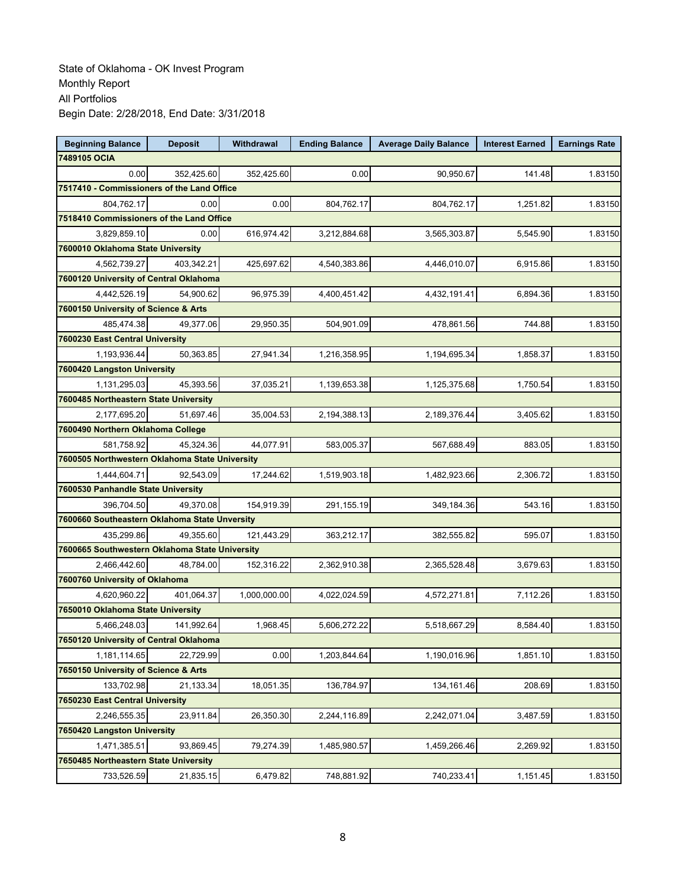| <b>Beginning Balance</b>                       | <b>Deposit</b> | Withdrawal   | <b>Ending Balance</b> | <b>Average Daily Balance</b> | <b>Interest Earned</b> | <b>Earnings Rate</b> |  |  |
|------------------------------------------------|----------------|--------------|-----------------------|------------------------------|------------------------|----------------------|--|--|
| 7489105 OCIA                                   |                |              |                       |                              |                        |                      |  |  |
| 0.00                                           | 352,425.60     | 352,425.60   | 0.00                  | 90,950.67                    | 141.48                 | 1.83150              |  |  |
| 7517410 - Commissioners of the Land Office     |                |              |                       |                              |                        |                      |  |  |
| 804,762.17                                     | 0.00           | 0.00         | 804,762.17            | 804,762.17                   | 1,251.82               | 1.83150              |  |  |
| 7518410 Commissioners of the Land Office       |                |              |                       |                              |                        |                      |  |  |
| 3,829,859.10                                   | 0.00           | 616,974.42   | 3,212,884.68          | 3,565,303.87                 | 5,545.90               | 1.83150              |  |  |
| 7600010 Oklahoma State University              |                |              |                       |                              |                        |                      |  |  |
| 4,562,739.27                                   | 403,342.21     | 425,697.62   | 4,540,383.86          | 4,446,010.07                 | 6,915.86               | 1.83150              |  |  |
| 7600120 University of Central Oklahoma         |                |              |                       |                              |                        |                      |  |  |
| 4,442,526.19                                   | 54,900.62      | 96,975.39    | 4,400,451.42          | 4,432,191.41                 | 6,894.36               | 1.83150              |  |  |
| 7600150 University of Science & Arts           |                |              |                       |                              |                        |                      |  |  |
| 485,474.38                                     | 49,377.06      | 29,950.35    | 504,901.09            | 478,861.56                   | 744.88                 | 1.83150              |  |  |
| 7600230 East Central University                |                |              |                       |                              |                        |                      |  |  |
| 1,193,936.44                                   | 50,363.85      | 27,941.34    | 1,216,358.95          | 1,194,695.34                 | 1,858.37               | 1.83150              |  |  |
| 7600420 Langston University                    |                |              |                       |                              |                        |                      |  |  |
| 1,131,295.03                                   | 45,393.56      | 37,035.21    | 1,139,653.38          | 1,125,375.68                 | 1,750.54               | 1.83150              |  |  |
| 7600485 Northeastern State University          |                |              |                       |                              |                        |                      |  |  |
| 2,177,695.20                                   | 51.697.46      | 35,004.53    | 2,194,388.13          | 2,189,376.44                 | 3,405.62               | 1.83150              |  |  |
| 7600490 Northern Oklahoma College              |                |              |                       |                              |                        |                      |  |  |
| 581,758.92                                     | 45,324.36      | 44,077.91    | 583,005.37            | 567,688.49                   | 883.05                 | 1.83150              |  |  |
| 7600505 Northwestern Oklahoma State University |                |              |                       |                              |                        |                      |  |  |
| 1,444,604.71                                   | 92,543.09      | 17,244.62    | 1,519,903.18          | 1,482,923.66                 | 2,306.72               | 1.83150              |  |  |
| 7600530 Panhandle State University             |                |              |                       |                              |                        |                      |  |  |
| 396,704.50                                     | 49,370.08      | 154,919.39   | 291,155.19            | 349,184.36                   | 543.16                 | 1.83150              |  |  |
| 7600660 Southeastern Oklahoma State Unversity  |                |              |                       |                              |                        |                      |  |  |
| 435,299.86                                     | 49,355.60      | 121,443.29   | 363,212.17            | 382,555.82                   | 595.07                 | 1.83150              |  |  |
| 7600665 Southwestern Oklahoma State University |                |              |                       |                              |                        |                      |  |  |
| 2,466,442.60                                   | 48,784.00      | 152,316.22   | 2,362,910.38          | 2,365,528.48                 | 3,679.63               | 1.83150              |  |  |
| 7600760 University of Oklahoma                 |                |              |                       |                              |                        |                      |  |  |
| 4,620,960.22                                   | 401,064.37     | 1,000,000.00 | 4,022,024.59          | 4,572,271.81                 | 7,112.26               | 1.83150              |  |  |
| 7650010 Oklahoma State University              |                |              |                       |                              |                        |                      |  |  |
| 5,466,248.03                                   | 141,992.64     | 1,968.45     | 5,606,272.22          | 5,518,667.29                 | 8,584.40               | 1.83150              |  |  |
| 7650120 University of Central Oklahoma         |                |              |                       |                              |                        |                      |  |  |
| 1,181,114.65                                   | 22,729.99      | 0.00         | 1,203,844.64          | 1,190,016.96                 | 1,851.10               | 1.83150              |  |  |
| 7650150 University of Science & Arts           |                |              |                       |                              |                        |                      |  |  |
| 133,702.98                                     | 21,133.34      | 18,051.35    | 136,784.97            | 134,161.46                   | 208.69                 | 1.83150              |  |  |
| 7650230 East Central University                |                |              |                       |                              |                        |                      |  |  |
| 2,246,555.35                                   | 23,911.84      | 26,350.30    | 2,244,116.89          | 2,242,071.04                 | 3,487.59               | 1.83150              |  |  |
| 7650420 Langston University                    |                |              |                       |                              |                        |                      |  |  |
| 1,471,385.51                                   | 93,869.45      | 79,274.39    | 1,485,980.57          | 1,459,266.46                 | 2,269.92               | 1.83150              |  |  |
| 7650485 Northeastern State University          |                |              |                       |                              |                        |                      |  |  |
| 733,526.59                                     | 21,835.15      | 6,479.82     | 748,881.92            | 740,233.41                   | 1,151.45               | 1.83150              |  |  |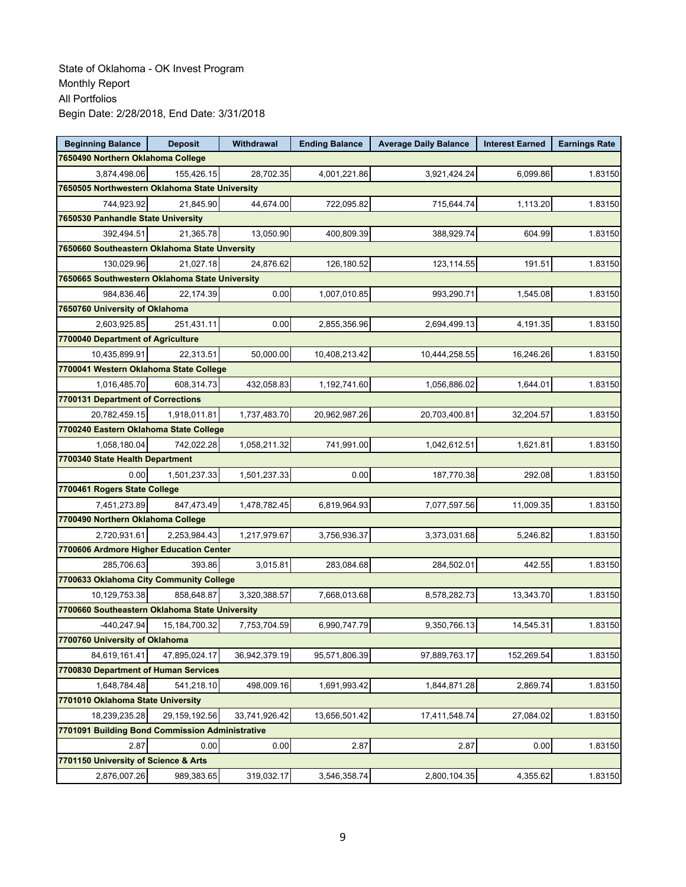| <b>Beginning Balance</b>                        | <b>Deposit</b>   | <b>Withdrawal</b> | <b>Ending Balance</b> | <b>Average Daily Balance</b> | <b>Interest Earned</b> | <b>Earnings Rate</b> |
|-------------------------------------------------|------------------|-------------------|-----------------------|------------------------------|------------------------|----------------------|
| 7650490 Northern Oklahoma College               |                  |                   |                       |                              |                        |                      |
| 3,874,498.06                                    | 155,426.15       | 28,702.35         | 4,001,221.86          | 3,921,424.24                 | 6,099.86               | 1.83150              |
| 7650505 Northwestern Oklahoma State University  |                  |                   |                       |                              |                        |                      |
| 744,923.92                                      | 21,845.90        | 44,674.00         | 722,095.82            | 715,644.74                   | 1,113.20               | 1.83150              |
| 7650530 Panhandle State University              |                  |                   |                       |                              |                        |                      |
| 392,494.51                                      | 21,365.78        | 13,050.90         | 400,809.39            | 388,929.74                   | 604.99                 | 1.83150              |
| 7650660 Southeastern Oklahoma State Unversity   |                  |                   |                       |                              |                        |                      |
| 130,029.96                                      | 21,027.18        | 24,876.62         | 126,180.52            | 123,114.55                   | 191.51                 | 1.83150              |
| 7650665 Southwestern Oklahoma State University  |                  |                   |                       |                              |                        |                      |
| 984.836.46                                      | 22,174.39        | 0.00              | 1,007,010.85          | 993,290.71                   | 1,545.08               | 1.83150              |
| 7650760 University of Oklahoma                  |                  |                   |                       |                              |                        |                      |
| 2,603,925.85                                    | 251,431.11       | 0.00              | 2,855,356.96          | 2,694,499.13                 | 4,191.35               | 1.83150              |
| 7700040 Department of Agriculture               |                  |                   |                       |                              |                        |                      |
| 10,435,899.91                                   | 22,313.51        | 50,000.00         | 10,408,213.42         | 10,444,258.55                | 16,246.26              | 1.83150              |
| 7700041 Western Oklahoma State College          |                  |                   |                       |                              |                        |                      |
| 1,016,485.70                                    | 608,314.73       | 432,058.83        | 1,192,741.60          | 1,056,886.02                 | 1,644.01               | 1.83150              |
| 7700131 Department of Corrections               |                  |                   |                       |                              |                        |                      |
| 20,782,459.15                                   | 1.918.011.81     | 1,737,483.70      | 20,962,987.26         | 20,703,400.81                | 32,204.57              | 1.83150              |
| 7700240 Eastern Oklahoma State College          |                  |                   |                       |                              |                        |                      |
| 1,058,180.04                                    | 742,022.28       | 1,058,211.32      | 741,991.00            | 1,042,612.51                 | 1,621.81               | 1.83150              |
| 7700340 State Health Department                 |                  |                   |                       |                              |                        |                      |
| 0.00                                            | 1,501,237.33     | 1,501,237.33      | 0.00                  | 187,770.38                   | 292.08                 | 1.83150              |
| 7700461 Rogers State College                    |                  |                   |                       |                              |                        |                      |
| 7,451,273.89                                    | 847,473.49       | 1,478,782.45      | 6,819,964.93          | 7,077,597.56                 | 11,009.35              | 1.83150              |
| 7700490 Northern Oklahoma College               |                  |                   |                       |                              |                        |                      |
| 2,720,931.61                                    | 2,253,984.43     | 1,217,979.67      | 3,756,936.37          | 3,373,031.68                 | 5,246.82               | 1.83150              |
| 7700606 Ardmore Higher Education Center         |                  |                   |                       |                              |                        |                      |
| 285,706.63                                      | 393.86           | 3,015.81          | 283,084.68            | 284,502.01                   | 442.55                 | 1.83150              |
| 7700633 Oklahoma City Community College         |                  |                   |                       |                              |                        |                      |
| 10,129,753.38                                   | 858,648.87       | 3,320,388.57      | 7,668,013.68          | 8,578,282.73                 | 13,343.70              | 1.83150              |
| 7700660 Southeastern Oklahoma State University  |                  |                   |                       |                              |                        |                      |
| $-440,247.94$                                   | 15, 184, 700. 32 | 7,753,704.59      | 6,990,747.79          | 9,350,766.13                 | 14,545.31              | 1.83150              |
| 7700760 University of Oklahoma                  |                  |                   |                       |                              |                        |                      |
| 84,619,161.41                                   | 47,895,024.17    | 36,942,379.19     | 95,571,806.39         | 97,889,763.17                | 152,269.54             | 1.83150              |
| 7700830 Department of Human Services            |                  |                   |                       |                              |                        |                      |
| 1,648,784.48                                    | 541,218.10       | 498,009.16        | 1,691,993.42          | 1,844,871.28                 | 2,869.74               | 1.83150              |
| 7701010 Oklahoma State University               |                  |                   |                       |                              |                        |                      |
| 18,239,235.28                                   | 29,159,192.56    | 33,741,926.42     | 13,656,501.42         | 17,411,548.74                | 27,084.02              | 1.83150              |
| 7701091 Building Bond Commission Administrative |                  |                   |                       |                              |                        |                      |
| 2.87                                            | 0.00             | 0.00              | 2.87                  | 2.87                         | 0.00                   | 1.83150              |
| 7701150 University of Science & Arts            |                  |                   |                       |                              |                        |                      |
| 2,876,007.26                                    | 989,383.65       | 319,032.17        | 3,546,358.74          | 2,800,104.35                 | 4,355.62               | 1.83150              |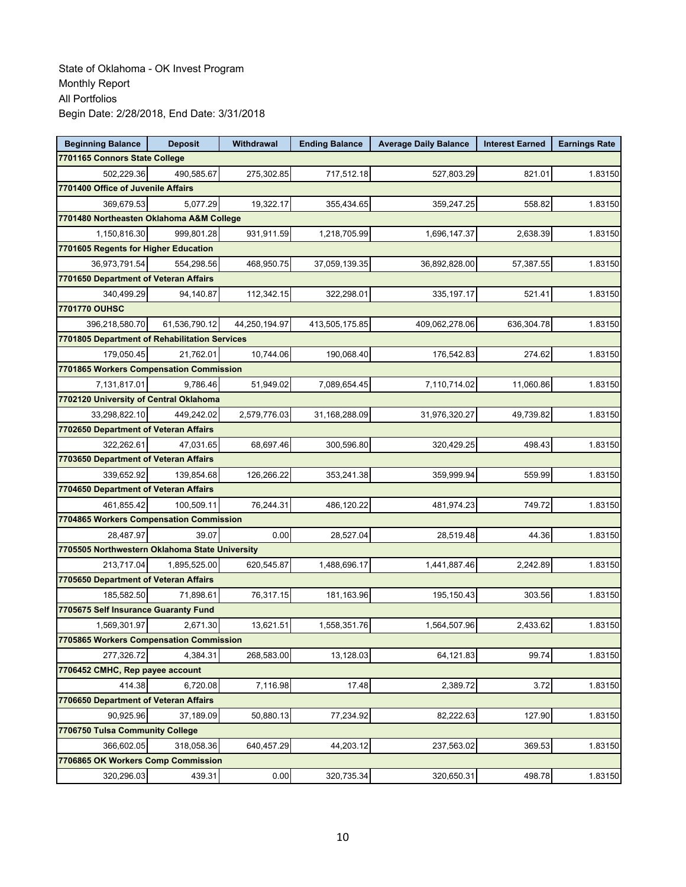| <b>Beginning Balance</b>                       | <b>Deposit</b> | Withdrawal    | <b>Ending Balance</b> | <b>Average Daily Balance</b> | <b>Interest Earned</b> | <b>Earnings Rate</b> |
|------------------------------------------------|----------------|---------------|-----------------------|------------------------------|------------------------|----------------------|
| 7701165 Connors State College                  |                |               |                       |                              |                        |                      |
| 502,229.36                                     | 490,585.67     | 275,302.85    | 717,512.18            | 527,803.29                   | 821.01                 | 1.83150              |
| 7701400 Office of Juvenile Affairs             |                |               |                       |                              |                        |                      |
| 369,679.53                                     | 5,077.29       | 19,322.17     | 355,434.65            | 359,247.25                   | 558.82                 | 1.83150              |
| 7701480 Northeasten Oklahoma A&M College       |                |               |                       |                              |                        |                      |
| 1,150,816.30                                   | 999,801.28     | 931,911.59    | 1,218,705.99          | 1,696,147.37                 | 2,638.39               | 1.83150              |
| 7701605 Regents for Higher Education           |                |               |                       |                              |                        |                      |
| 36,973,791.54                                  | 554,298.56     | 468,950.75    | 37,059,139.35         | 36,892,828.00                | 57,387.55              | 1.83150              |
| 7701650 Department of Veteran Affairs          |                |               |                       |                              |                        |                      |
| 340,499.29                                     | 94,140.87      | 112,342.15    | 322,298.01            | 335, 197.17                  | 521.41                 | 1.83150              |
| <b>7701770 OUHSC</b>                           |                |               |                       |                              |                        |                      |
| 396,218,580.70                                 | 61,536,790.12  | 44,250,194.97 | 413,505,175.85        | 409,062,278.06               | 636,304.78             | 1.83150              |
| 7701805 Department of Rehabilitation Services  |                |               |                       |                              |                        |                      |
| 179,050.45                                     | 21,762.01      | 10,744.06     | 190,068.40            | 176,542.83                   | 274.62                 | 1.83150              |
| 7701865 Workers Compensation Commission        |                |               |                       |                              |                        |                      |
| 7,131,817.01                                   | 9,786.46       | 51,949.02     | 7,089,654.45          | 7,110,714.02                 | 11,060.86              | 1.83150              |
| 7702120 University of Central Oklahoma         |                |               |                       |                              |                        |                      |
| 33,298,822.10                                  | 449,242.02     | 2,579,776.03  | 31,168,288.09         | 31,976,320.27                | 49,739.82              | 1.83150              |
| 7702650 Department of Veteran Affairs          |                |               |                       |                              |                        |                      |
| 322,262.61                                     | 47,031.65      | 68.697.46     | 300,596.80            | 320,429.25                   | 498.43                 | 1.83150              |
| 7703650 Department of Veteran Affairs          |                |               |                       |                              |                        |                      |
| 339,652.92                                     | 139,854.68     | 126,266.22    | 353,241.38            | 359,999.94                   | 559.99                 | 1.83150              |
| 7704650 Department of Veteran Affairs          |                |               |                       |                              |                        |                      |
| 461,855.42                                     | 100,509.11     | 76,244.31     | 486,120.22            | 481,974.23                   | 749.72                 | 1.83150              |
| 7704865 Workers Compensation Commission        |                |               |                       |                              |                        |                      |
| 28,487.97                                      | 39.07          | 0.00          | 28,527.04             | 28,519.48                    | 44.36                  | 1.83150              |
| 7705505 Northwestern Oklahoma State University |                |               |                       |                              |                        |                      |
| 213,717.04                                     | 1,895,525.00   | 620,545.87    | 1,488,696.17          | 1,441,887.46                 | 2,242.89               | 1.83150              |
| 7705650 Department of Veteran Affairs          |                |               |                       |                              |                        |                      |
| 185,582.50                                     | 71,898.61      | 76,317.15     | 181,163.96            | 195,150.43                   | 303.56                 | 1.83150              |
| 7705675 Self Insurance Guaranty Fund           |                |               |                       |                              |                        |                      |
| 1,569,301.97                                   | 2,671.30       | 13,621.51     | 1,558,351.76          | 1,564,507.96                 | 2,433.62               | 1.83150              |
| 7705865 Workers Compensation Commission        |                |               |                       |                              |                        |                      |
| 277,326.72                                     | 4,384.31       | 268,583.00    | 13,128.03             | 64,121.83                    | 99.74                  | 1.83150              |
| 7706452 CMHC, Rep payee account                |                |               |                       |                              |                        |                      |
| 414.38                                         | 6,720.08       | 7,116.98      | 17.48                 | 2,389.72                     | 3.72                   | 1.83150              |
| 7706650 Department of Veteran Affairs          |                |               |                       |                              |                        |                      |
| 90,925.96                                      | 37,189.09      | 50,880.13     | 77,234.92             | 82,222.63                    | 127.90                 | 1.83150              |
| 7706750 Tulsa Community College                |                |               |                       |                              |                        |                      |
| 366.602.05                                     | 318,058.36     | 640,457.29    | 44,203.12             | 237,563.02                   | 369.53                 | 1.83150              |
| 7706865 OK Workers Comp Commission             |                |               |                       |                              |                        |                      |
| 320,296.03                                     | 439.31         | 0.00          | 320,735.34            | 320,650.31                   | 498.78                 | 1.83150              |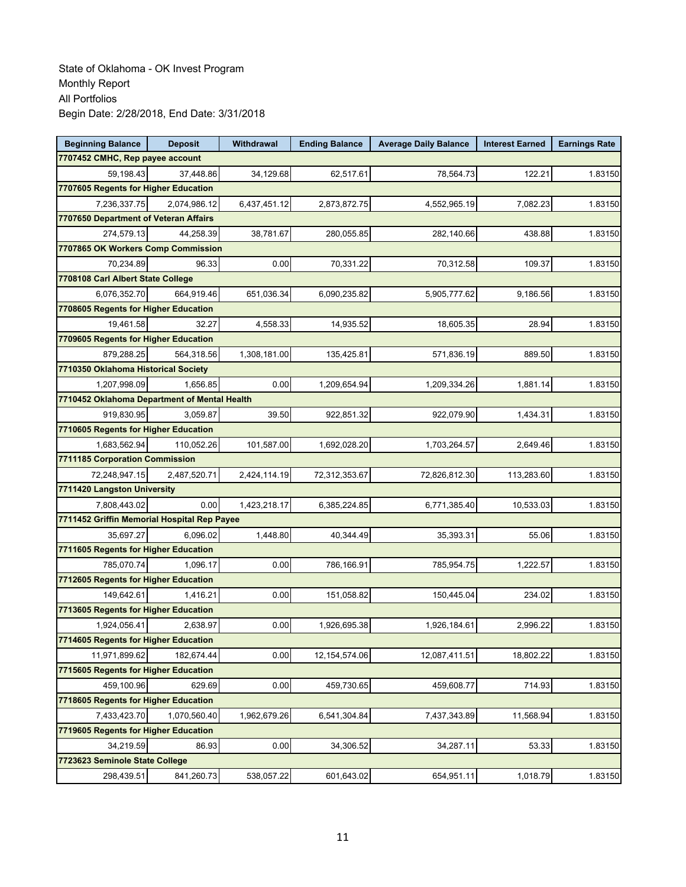| <b>Beginning Balance</b>                     | <b>Deposit</b> | Withdrawal   | <b>Ending Balance</b> | <b>Average Daily Balance</b> | <b>Interest Earned</b> | <b>Earnings Rate</b> |
|----------------------------------------------|----------------|--------------|-----------------------|------------------------------|------------------------|----------------------|
| 7707452 CMHC, Rep payee account              |                |              |                       |                              |                        |                      |
| 59,198.43                                    | 37,448.86      | 34,129.68    | 62,517.61             | 78,564.73                    | 122.21                 | 1.83150              |
| 7707605 Regents for Higher Education         |                |              |                       |                              |                        |                      |
| 7,236,337.75                                 | 2,074,986.12   | 6,437,451.12 | 2,873,872.75          | 4,552,965.19                 | 7,082.23               | 1.83150              |
| 7707650 Department of Veteran Affairs        |                |              |                       |                              |                        |                      |
| 274,579.13                                   | 44,258.39      | 38,781.67    | 280,055.85            | 282,140.66                   | 438.88                 | 1.83150              |
| 7707865 OK Workers Comp Commission           |                |              |                       |                              |                        |                      |
| 70,234.89                                    | 96.33          | 0.00         | 70,331.22             | 70,312.58                    | 109.37                 | 1.83150              |
| 7708108 Carl Albert State College            |                |              |                       |                              |                        |                      |
| 6,076,352.70                                 | 664,919.46     | 651,036.34   | 6,090,235.82          | 5,905,777.62                 | 9,186.56               | 1.83150              |
| 7708605 Regents for Higher Education         |                |              |                       |                              |                        |                      |
| 19,461.58                                    | 32.27          | 4,558.33     | 14,935.52             | 18,605.35                    | 28.94                  | 1.83150              |
| 7709605 Regents for Higher Education         |                |              |                       |                              |                        |                      |
| 879,288.25                                   | 564,318.56     | 1,308,181.00 | 135,425.81            | 571,836.19                   | 889.50                 | 1.83150              |
| 7710350 Oklahoma Historical Society          |                |              |                       |                              |                        |                      |
| 1,207,998.09                                 | 1.656.85       | 0.00         | 1,209,654.94          | 1,209,334.26                 | 1,881.14               | 1.83150              |
| 7710452 Oklahoma Department of Mental Health |                |              |                       |                              |                        |                      |
| 919,830.95                                   | 3,059.87       | 39.50        | 922,851.32            | 922,079.90                   | 1,434.31               | 1.83150              |
| 7710605 Regents for Higher Education         |                |              |                       |                              |                        |                      |
| 1,683,562.94                                 | 110,052.26     | 101,587.00   | 1,692,028.20          | 1,703,264.57                 | 2,649.46               | 1.83150              |
| 7711185 Corporation Commission               |                |              |                       |                              |                        |                      |
| 72,248,947.15                                | 2,487,520.71   | 2,424,114.19 | 72,312,353.67         | 72,826,812.30                | 113,283.60             | 1.83150              |
| 7711420 Langston University                  |                |              |                       |                              |                        |                      |
| 7,808,443.02                                 | 0.00           | 1,423,218.17 | 6,385,224.85          | 6,771,385.40                 | 10,533.03              | 1.83150              |
| 7711452 Griffin Memorial Hospital Rep Payee  |                |              |                       |                              |                        |                      |
| 35,697.27                                    | 6,096.02       | 1,448.80     | 40,344.49             | 35,393.31                    | 55.06                  | 1.83150              |
| 7711605 Regents for Higher Education         |                |              |                       |                              |                        |                      |
| 785,070.74                                   | 1,096.17       | 0.00         | 786,166.91            | 785,954.75                   | 1,222.57               | 1.83150              |
| 7712605 Regents for Higher Education         |                |              |                       |                              |                        |                      |
| 149,642.61                                   | 1,416.21       | 0.00         | 151,058.82            | 150,445.04                   | 234.02                 | 1.83150              |
| 7713605 Regents for Higher Education         |                |              |                       |                              |                        |                      |
| 1,924,056.41                                 | 2,638.97       | 0.00         | 1,926,695.38          | 1,926,184.61                 | 2,996.22               | 1.83150              |
| 7714605 Regents for Higher Education         |                |              |                       |                              |                        |                      |
| 11,971,899.62                                | 182,674.44     | 0.00         | 12,154,574.06         | 12,087,411.51                | 18,802.22              | 1.83150              |
| 7715605 Regents for Higher Education         |                |              |                       |                              |                        |                      |
| 459,100.96                                   | 629.69         | 0.00         | 459,730.65            | 459,608.77                   | 714.93                 | 1.83150              |
| 7718605 Regents for Higher Education         |                |              |                       |                              |                        |                      |
| 7,433,423.70                                 | 1,070,560.40   | 1,962,679.26 | 6,541,304.84          | 7,437,343.89                 | 11,568.94              | 1.83150              |
| 7719605 Regents for Higher Education         |                |              |                       |                              |                        |                      |
| 34,219.59                                    | 86.93          | 0.00         | 34,306.52             | 34,287.11                    | 53.33                  | 1.83150              |
| 7723623 Seminole State College               |                |              |                       |                              |                        |                      |
| 298,439.51                                   | 841,260.73     | 538,057.22   | 601,643.02            | 654,951.11                   | 1,018.79               | 1.83150              |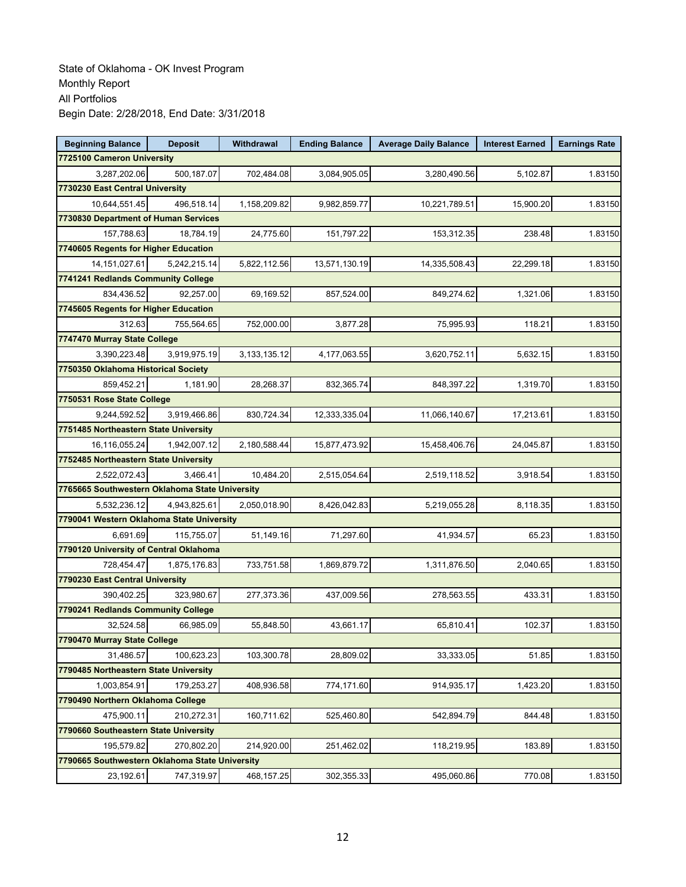| <b>Beginning Balance</b>                       | <b>Deposit</b> | Withdrawal      | <b>Ending Balance</b> | <b>Average Daily Balance</b> | <b>Interest Earned</b> | <b>Earnings Rate</b> |
|------------------------------------------------|----------------|-----------------|-----------------------|------------------------------|------------------------|----------------------|
| 7725100 Cameron University                     |                |                 |                       |                              |                        |                      |
| 3,287,202.06                                   | 500.187.07     | 702,484.08      | 3,084,905.05          | 3,280,490.56                 | 5,102.87               | 1.83150              |
| 7730230 East Central University                |                |                 |                       |                              |                        |                      |
| 10,644,551.45                                  | 496,518.14     | 1,158,209.82    | 9,982,859.77          | 10,221,789.51                | 15,900.20              | 1.83150              |
| 7730830 Department of Human Services           |                |                 |                       |                              |                        |                      |
| 157,788.63                                     | 18,784.19      | 24,775.60       | 151,797.22            | 153,312.35                   | 238.48                 | 1.83150              |
| 7740605 Regents for Higher Education           |                |                 |                       |                              |                        |                      |
| 14,151,027.61                                  | 5,242,215.14   | 5,822,112.56    | 13,571,130.19         | 14,335,508.43                | 22,299.18              | 1.83150              |
| 7741241 Redlands Community College             |                |                 |                       |                              |                        |                      |
| 834,436.52                                     | 92,257.00      | 69,169.52       | 857,524.00            | 849,274.62                   | 1,321.06               | 1.83150              |
| 7745605 Regents for Higher Education           |                |                 |                       |                              |                        |                      |
| 312.63                                         | 755,564.65     | 752,000.00      | 3,877.28              | 75,995.93                    | 118.21                 | 1.83150              |
| 7747470 Murray State College                   |                |                 |                       |                              |                        |                      |
| 3,390,223.48                                   | 3.919.975.19   | 3, 133, 135. 12 | 4,177,063.55          | 3,620,752.11                 | 5,632.15               | 1.83150              |
| 7750350 Oklahoma Historical Society            |                |                 |                       |                              |                        |                      |
| 859,452.21                                     | 1,181.90       | 28,268.37       | 832,365.74            | 848,397.22                   | 1,319.70               | 1.83150              |
| 7750531 Rose State College                     |                |                 |                       |                              |                        |                      |
| 9,244,592.52                                   | 3,919,466.86   | 830,724.34      | 12,333,335.04         | 11,066,140.67                | 17,213.61              | 1.83150              |
| 7751485 Northeastern State University          |                |                 |                       |                              |                        |                      |
| 16,116,055.24                                  | 1,942,007.12   | 2,180,588.44    | 15,877,473.92         | 15,458,406.76                | 24,045.87              | 1.83150              |
| 7752485 Northeastern State University          |                |                 |                       |                              |                        |                      |
| 2,522,072.43                                   | 3,466.41       | 10,484.20       | 2,515,054.64          | 2,519,118.52                 | 3,918.54               | 1.83150              |
| 7765665 Southwestern Oklahoma State University |                |                 |                       |                              |                        |                      |
| 5,532,236.12                                   | 4,943,825.61   | 2,050,018.90    | 8,426,042.83          | 5,219,055.28                 | 8,118.35               | 1.83150              |
| 7790041 Western Oklahoma State University      |                |                 |                       |                              |                        |                      |
| 6.691.69                                       | 115,755.07     | 51,149.16       | 71,297.60             | 41,934.57                    | 65.23                  | 1.83150              |
| 7790120 University of Central Oklahoma         |                |                 |                       |                              |                        |                      |
| 728,454.47                                     | 1,875,176.83   | 733,751.58      | 1,869,879.72          | 1,311,876.50                 | 2,040.65               | 1.83150              |
| 7790230 East Central University                |                |                 |                       |                              |                        |                      |
| 390,402.25                                     | 323,980.67     | 277,373.36      | 437,009.56            | 278,563.55                   | 433.31                 | 1.83150              |
| 7790241 Redlands Community College             |                |                 |                       |                              |                        |                      |
| 32,524.58                                      | 66,985.09      | 55,848.50       | 43,661.17             | 65,810.41                    | 102.37                 | 1.83150              |
| 7790470 Murray State College                   |                |                 |                       |                              |                        |                      |
| 31,486.57                                      | 100,623.23     | 103,300.78      | 28,809.02             | 33,333.05                    | 51.85                  | 1.83150              |
| 7790485 Northeastern State University          |                |                 |                       |                              |                        |                      |
| 1,003,854.91                                   | 179,253.27     | 408,936.58      | 774,171.60            | 914,935.17                   | 1,423.20               | 1.83150              |
| 7790490 Northern Oklahoma College              |                |                 |                       |                              |                        |                      |
| 475,900.11                                     | 210,272.31     | 160,711.62      | 525,460.80            | 542,894.79                   | 844.48                 | 1.83150              |
| 7790660 Southeastern State University          |                |                 |                       |                              |                        |                      |
| 195,579.82                                     | 270,802.20     | 214,920.00      | 251,462.02            | 118,219.95                   | 183.89                 | 1.83150              |
| 7790665 Southwestern Oklahoma State University |                |                 |                       |                              |                        |                      |
| 23,192.61                                      | 747,319.97     | 468,157.25      | 302,355.33            | 495,060.86                   | 770.08                 | 1.83150              |